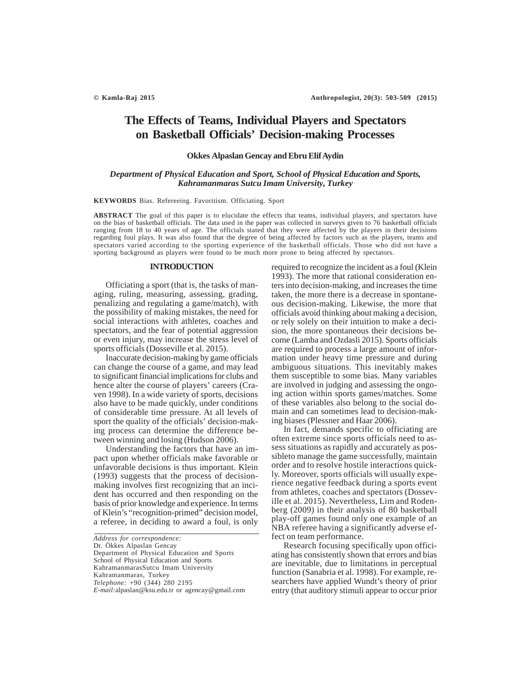# **The Effects of Teams, Individual Players and Spectators on Basketball Officials' Decision-making Processes**

# **Okkes Alpaslan Gencay and Ebru Elif Aydin**

# *Department of Physical Education and Sport, School of Physical Education and Sports, Kahramanmaras Sutcu Imam University, Turkey*

### **KEYWORDS** Bias. Refereeing. Favoritism. Officiating. Sport

**ABSTRACT** The goal of this paper is to elucidate the effects that teams, individual players, and spectators have on the bias of basketball officials. The data used in the paper was collected in surveys given to 76 basketball officials ranging from 18 to 40 years of age. The officials stated that they were affected by the players in their decisions regarding foul plays. It was also found that the degree of being affected by factors such as the players, teams and spectators varied according to the sporting experience of the basketball officials. Those who did not have a sporting background as players were found to be much more prone to being affected by spectators.

### **INTRODUCTION**

Officiating a sport (that is, the tasks of managing, ruling, measuring, assessing, grading, penalizing and regulating a game/match), with the possibility of making mistakes, the need for social interactions with athletes, coaches and spectators, and the fear of potential aggression or even injury, may increase the stress level of sports officials (Dosseville et al. 2015).

Inaccurate decision-making by game officials can change the course of a game, and may lead to significant financial implications for clubs and hence alter the course of players' careers (Craven 1998). In a wide variety of sports, decisions also have to be made quickly, under conditions of considerable time pressure. At all levels of sport the quality of the officials' decision-making process can determine the difference between winning and losing (Hudson 2006).

Understanding the factors that have an impact upon whether officials make favorable or unfavorable decisions is thus important. Klein (1993) suggests that the process of decisionmaking involves first recognizing that an incident has occurred and then responding on the basis of prior knowledge and experience. In terms of Klein's "recognition-primed" decision model, a referee, in deciding to award a foul, is only

required to recognize the incident as a foul (Klein 1993). The more that rational consideration enters into decision-making, and increases the time taken, the more there is a decrease in spontaneous decision-making. Likewise, the more that officials avoid thinking about making a decision, or rely solely on their intuition to make a decision, the more spontaneous their decisions become (Lamba and Ozdasli 2015). Sports officials are required to process a large amount of information under heavy time pressure and during ambiguous situations. This inevitably makes them susceptible to some bias. Many variables are involved in judging and assessing the ongoing action within sports games/matches. Some of these variables also belong to the social domain and can sometimes lead to decision-making biases (Plessner and Haar 2006).

In fact, demands specific to officiating are often extreme since sports officials need to assess situations as rapidly and accurately as possibleto manage the game successfully, maintain order and to resolve hostile interactions quickly. Moreover, sports officials will usually experience negative feedback during a sports event from athletes, coaches and spectators (Dosseville et al. 2015). Nevertheless, Lim and Rodenberg (2009) in their analysis of 80 basketball play-off games found only one example of an NBA referee having a significantly adverse effect on team performance.

Research focusing specifically upon officiating has consistently shown that errors and bias are inevitable, due to limitations in perceptual function (Sanabria et al. 1998). For example, researchers have applied Wundt's theory of prior entry (that auditory stimuli appear to occur prior

*Address for correspondence:* Dr. Ökkes Alpaslan Gencay Department of Physical Education and Sports School of Physical Education and Sports KahramanmarasSutcu Imam University Kahramanmaras, Turkey *Telephone:* +90 (344) 280 2195 *E-mail:*alpaslan@ksu.edu.tr or agencay@gmail.com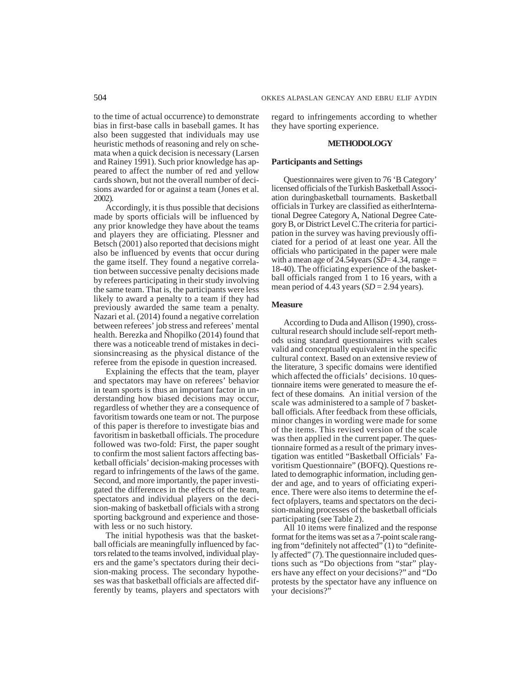to the time of actual occurrence) to demonstrate bias in first-base calls in baseball games. It has also been suggested that individuals may use heuristic methods of reasoning and rely on schemata when a quick decision is necessary (Larsen and Rainey 1991). Such prior knowledge has appeared to affect the number of red and yellow cards shown, but not the overall number of decisions awarded for or against a team (Jones et al. 2002).

Accordingly, it is thus possible that decisions made by sports officials will be influenced by any prior knowledge they have about the teams and players they are officiating. Plessner and Betsch (2001) also reported that decisions might also be influenced by events that occur during the game itself. They found a negative correlation between successive penalty decisions made by referees participating in their study involving the same team. That is, the participants were less likely to award a penalty to a team if they had previously awarded the same team a penalty. Nazari et al. (2014) found a negative correlation between referees' job stress and referees' mental health. Berezka and Ñhopilko (2014) found that there was a noticeable trend of mistakes in decisionsincreasing as the physical distance of the referee from the episode in question increased.

Explaining the effects that the team, player and spectators may have on referees' behavior in team sports is thus an important factor in understanding how biased decisions may occur, regardless of whether they are a consequence of favoritism towards one team or not. The purpose of this paper is therefore to investigate bias and favoritism in basketball officials. The procedure followed was two-fold: First, the paper sought to confirm the most salient factors affecting basketball officials' decision-making processes with regard to infringements of the laws of the game. Second, and more importantly, the paper investigated the differences in the effects of the team, spectators and individual players on the decision-making of basketball officials with a strong sporting background and experience and thosewith less or no such history.

The initial hypothesis was that the basketball officials are meaningfully influenced by factors related to the teams involved, individual players and the game's spectators during their decision-making process. The secondary hypotheses was that basketball officials are affected differently by teams, players and spectators with regard to infringements according to whether they have sporting experience.

## **METHODOLOGY**

#### **Participants and Settings**

Questionnaires were given to 76 'B Category' licensed officials of the Turkish Basketball Association duringbasketball tournaments. Basketball officials in Turkey are classified as eitherInternational Degree Category A, National Degree Category B, or District Level C.The criteria for participation in the survey was having previously officiated for a period of at least one year. All the officials who participated in the paper were male with a mean age of  $24.54$ years ( $SD = 4.34$ , range = 18-40). The officiating experience of the basketball officials ranged from 1 to 16 years, with a mean period of  $4.\overline{4}3$  years (*SD* = 2.94 years).

# **Measure**

According to Duda and Allison (1990), crosscultural research should include self-report methods using standard questionnaires with scales valid and conceptually equivalent in the specific cultural context. Based on an extensive review of the literature, 3 specific domains were identified which affected the officials' decisions. 10 questionnaire items were generated to measure the effect of these domains. An initial version of the scale was administered to a sample of 7 basketball officials. After feedback from these officials, minor changes in wording were made for some of the items. This revised version of the scale was then applied in the current paper. The questionnaire formed as a result of the primary investigation was entitled "Basketball Officials' Favoritism Questionnaire" (BOFQ). Questions related to demographic information, including gender and age, and to years of officiating experience. There were also items to determine the effect ofplayers, teams and spectators on the decision-making processes of the basketball officials participating (see Table 2).

All 10 items were finalized and the response format for the items was set as a 7-point scale ranging from "definitely not affected" (1) to "definitely affected" (7). The questionnaire included questions such as "Do objections from "star" players have any effect on your decisions?" and "Do protests by the spectator have any influence on your decisions?"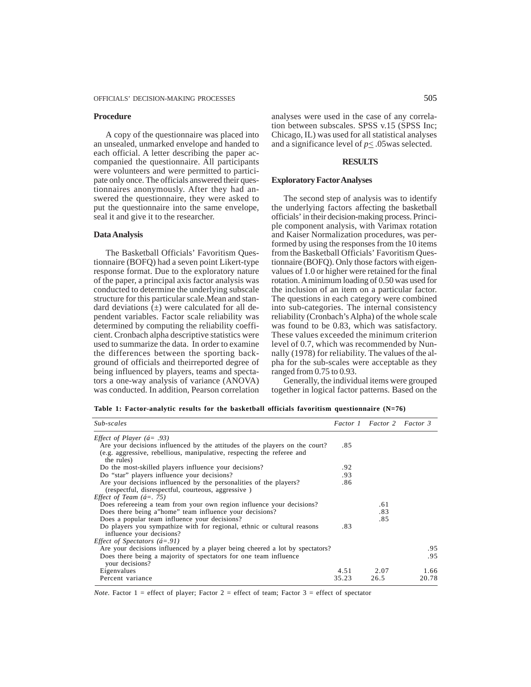#### **Procedure**

A copy of the questionnaire was placed into an unsealed, unmarked envelope and handed to each official. A letter describing the paper accompanied the questionnaire. All participants were volunteers and were permitted to participate only once. The officials answered their questionnaires anonymously. After they had answered the questionnaire, they were asked to put the questionnaire into the same envelope, seal it and give it to the researcher.

#### **Data Analysis**

The Basketball Officials' Favoritism Questionnaire (BOFQ) had a seven point Likert-type response format. Due to the exploratory nature of the paper, a principal axis factor analysis was conducted to determine the underlying subscale structure for this particular scale.Mean and standard deviations  $(±)$  were calculated for all dependent variables. Factor scale reliability was determined by computing the reliability coefficient. Cronbach alpha descriptive statistics were used to summarize the data. In order to examine the differences between the sporting background of officials and theirreported degree of being influenced by players, teams and spectators a one-way analysis of variance (ANOVA) was conducted. In addition, Pearson correlation analyses were used in the case of any correlation between subscales. SPSS v.15 (SPSS Inc; Chicago, IL) was used for all statistical analyses and a significance level of  $p \leq 0.05$  was selected.

## **RESULTS**

## **Exploratory Factor Analyses**

The second step of analysis was to identify the underlying factors affecting the basketball officials' in their decision-making process. Principle component analysis, with Varimax rotation and Kaiser Normalization procedures, was performed by using the responses from the 10 items from the Basketball Officials' Favoritism Questionnaire (BOFQ). Only those factors with eigenvalues of 1.0 or higher were retained for the final rotation. A minimum loading of 0.50 was used for the inclusion of an item on a particular factor. The questions in each category were combined into sub-categories. The internal consistency reliability (Cronbach's Alpha) of the whole scale was found to be 0.83, which was satisfactory. These values exceeded the minimum criterion level of 0.7, which was recommended by Nunnally (1978) for reliability. The values of the alpha for the sub-scales were acceptable as they ranged from 0.75 to 0.93.

Generally, the individual items were grouped together in logical factor patterns. Based on the

**Table 1: Factor-analytic results for the basketball officials favoritism questionnaire (N=76)**

| Sub-scales                                                                                                                                            |       | Factor 1 Factor 2 Factor 3 |       |
|-------------------------------------------------------------------------------------------------------------------------------------------------------|-------|----------------------------|-------|
| <i>Effect of Player</i> ( $\acute{a}$ = .93)                                                                                                          |       |                            |       |
| Are your decisions influenced by the attitudes of the players on the court?<br>(e.g. aggressive, rebellious, manipulative, respecting the referee and | .85   |                            |       |
| the rules)                                                                                                                                            |       |                            |       |
| Do the most-skilled players influence your decisions?                                                                                                 | .92   |                            |       |
| Do "star" players influence your decisions?                                                                                                           | .93   |                            |       |
| Are your decisions influenced by the personalities of the players?<br>(respectful, disrespectful, courteous, aggressive)                              | .86   |                            |       |
| <i>Effect of Team <math>(4=.75)</math></i>                                                                                                            |       |                            |       |
| Does refereeing a team from your own region influence your decisions?                                                                                 |       | .61                        |       |
| Does there being a"home" team influence your decisions?                                                                                               |       | .83                        |       |
| Does a popular team influence your decisions?                                                                                                         |       | .85                        |       |
| Do players you sympathize with for regional, ethnic or cultural reasons<br>influence your decisions?                                                  | .83   |                            |       |
| <i>Effect of Spectators (<math>\acute{a}</math>=.91)</i>                                                                                              |       |                            |       |
| Are your decisions influenced by a player being cheered a lot by spectators?                                                                          |       |                            | .95   |
| Does there being a majority of spectators for one team influence<br>your decisions?                                                                   |       |                            | .95   |
| Eigenvalues                                                                                                                                           | 4.51  | 2.07                       | 1.66  |
| Percent variance                                                                                                                                      | 35.23 | 26.5                       | 20.78 |

*Note*. Factor  $1 =$  effect of player; Factor  $2 =$  effect of team; Factor  $3 =$  effect of spectator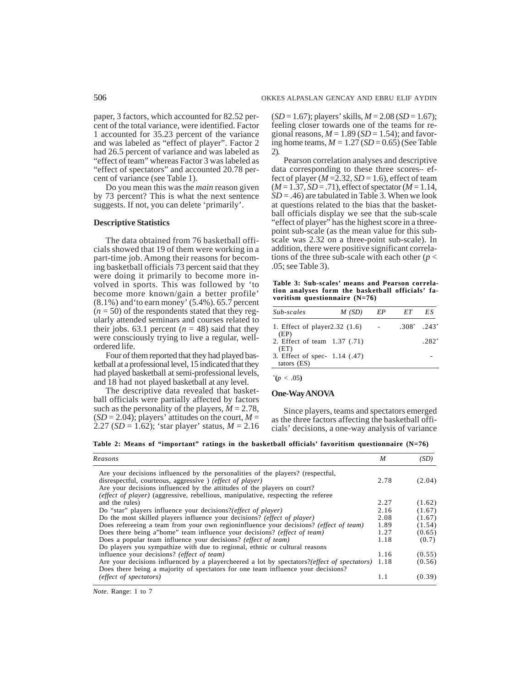paper, 3 factors, which accounted for 82.52 percent of the total variance, were identified. Factor 1 accounted for 35.23 percent of the variance and was labeled as "effect of player". Factor 2 had 26.5 percent of variance and was labeled as "effect of team" whereas Factor 3 was labeled as "effect of spectators" and accounted 20.78 percent of variance (see Table 1).

Do you mean this was the *main* reason given by 73 percent? This is what the next sentence suggests. If not, you can delete 'primarily'.

# **Descriptive Statistics**

The data obtained from 76 basketball officials showed that 19 of them were working in a part-time job. Among their reasons for becoming basketball officials 73 percent said that they were doing it primarily to become more involved in sports. This was followed by 'to become more known/gain a better profile' (8.1%) and'to earn money' (5.4%). 65.7 percent  $(n = 50)$  of the respondents stated that they regularly attended seminars and courses related to their jobs. 63.1 percent  $(n = 48)$  said that they were consciously trying to live a regular, wellordered life.

Four of them reported that they had played basketball at a professional level, 15 indicated that they had played basketball at semi-professional levels, and 18 had not played basketball at any level.

The descriptive data revealed that basketball officials were partially affected by factors such as the personality of the players,  $M = 2.78$ ,  $(SD = 2.04)$ ; players' attitudes on the court,  $M =$ 2.27 (*SD* = 1.62); 'star player' status, *M* = 2.16 (*SD* = 1.67); players' skills, *M* = 2.08 (*SD* = 1.67); feeling closer towards one of the teams for regional reasons,  $M = 1.89$  (*SD* = 1.54); and favoring home teams,  $M = 1.27$  ( $SD = 0.65$ ) (See Table 2).

Pearson correlation analyses and descriptive data corresponding to these three scores– effect of player ( $M = 2.32$ ,  $SD = 1.6$ ), effect of team (*M* = 1.37, *SD* = .71), effect of spectator (*M* = 1.14,  $SD = .46$ ) are tabulated in Table 3. When we look at questions related to the bias that the basketball officials display we see that the sub-scale "effect of player" has the highest score in a threepoint sub-scale (as the mean value for this subscale was 2.32 on a three-point sub-scale). In addition, there were positive significant correlations of the three sub-scale with each other ( $p <$ .05; see Table 3).

**Table 3: Sub-scales' means and Pearson correlation analyses form the basketball officials' favoritism questionnaire (N=76)**

| Sub-scales                                   | M(SD) | EP | ET                | ΕS      |
|----------------------------------------------|-------|----|-------------------|---------|
| 1. Effect of player2.32 (1.6)<br>(EP)        |       |    | $.308^*$ $.243^*$ |         |
| 2. Effect of team 1.37 (.71)<br>(ET)         |       |    |                   | $-282"$ |
| 3. Effect of spec- 1.14 (.47)<br>tators (ES) |       |    |                   |         |

 $*(p < .05)$ 

#### **One-Way ANOVA**

Since players, teams and spectators emerged as the three factors affecting the basketball officials' decisions, a one-way analysis of variance

**Table 2: Means of "important" ratings in the basketball officials' favoritism questionnaire (N=76)**

| Reasons                                                                                                                                                                         | M    | (SD)   |
|---------------------------------------------------------------------------------------------------------------------------------------------------------------------------------|------|--------|
| Are your decisions influenced by the personalities of the players? (respectful,                                                                                                 |      |        |
| disrespectful, courteous, aggressive) ( <i>effect of player</i> )                                                                                                               | 2.78 | (2.04) |
| Are your decisions influenced by the attitudes of the players on court?                                                                                                         |      |        |
| <i>(effect of player)</i> (aggressive, rebellious, manipulative, respecting the referee                                                                                         |      |        |
| and the rules)                                                                                                                                                                  | 2.27 | (1.62) |
| Do "star" players influence your decisions?( <i>effect of player</i> )                                                                                                          | 2.16 | (1.67) |
| Do the most skilled players influence your decisions? ( <i>effect of player</i> )                                                                                               | 2.08 | (1.67) |
| Does refereeing a team from your own regioninfluence your decisions? (effect of team)                                                                                           | 1.89 | (1.54) |
| Does there being a"home" team influence your decisions? (effect of team)                                                                                                        | 1.27 | (0.65) |
| Does a popular team influence your decisions? (effect of team)                                                                                                                  | 1.18 | (0.7)  |
| Do players you sympathize with due to regional, ethnic or cultural reasons                                                                                                      |      |        |
| influence your decisions? ( <i>effect of team</i> )                                                                                                                             | 1.16 | (0.55) |
| Are your decisions influenced by a playercheered a lot by spectators?(effect of spectators)<br>Does there being a majority of spectators for one team influence your decisions? | 1.18 | (0.56) |
| (effect of spectators)                                                                                                                                                          | 1.1  | (0.39) |

*Note*. Range: 1 to 7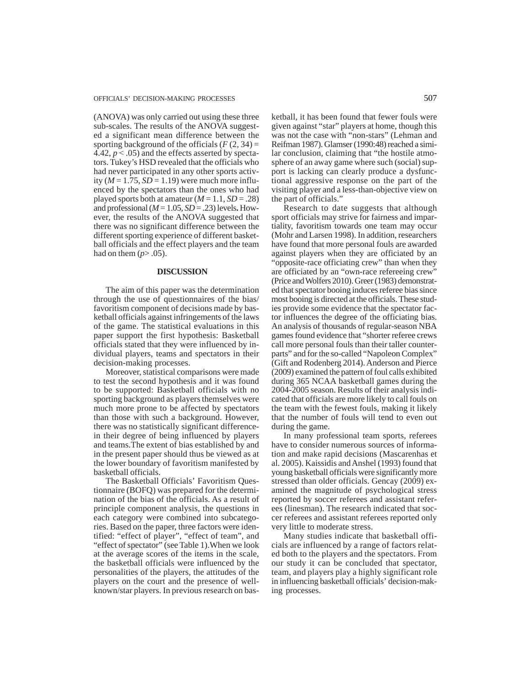(ANOVA) was only carried out using these three sub-scales. The results of the ANOVA suggested a significant mean difference between the sporting background of the officials  $(F(2, 34))$ 4.42,  $p < .05$ ) and the effects asserted by spectators. Tukey's HSD revealed that the officials who had never participated in any other sports activity ( $M = 1.75$ ,  $SD = 1.19$ ) were much more influenced by the spectators than the ones who had played sports both at amateur  $(M = 1.1, SD = .28)$ and professional  $(M = 1.05, SD = .23)$  levels. However, the results of the ANOVA suggested that there was no significant difference between the different sporting experience of different basketball officials and the effect players and the team had on them  $(p> .05)$ .

## **DISCUSSION**

The aim of this paper was the determination through the use of questionnaires of the bias/ favoritism component of decisions made by basketball officials against infringements of the laws of the game. The statistical evaluations in this paper support the first hypothesis: Basketball officials stated that they were influenced by individual players, teams and spectators in their decision-making processes.

Moreover, statistical comparisons were made to test the second hypothesis and it was found to be supported: Basketball officials with no sporting background as players themselves were much more prone to be affected by spectators than those with such a background. However, there was no statistically significant differencein their degree of being influenced by players and teams.The extent of bias established by and in the present paper should thus be viewed as at the lower boundary of favoritism manifested by basketball officials.

The Basketball Officials' Favoritism Questionnaire (BOFQ) was prepared for the determination of the bias of the officials. As a result of principle component analysis, the questions in each category were combined into subcategories. Based on the paper, three factors were identified: "effect of player", "effect of team", and "effect of spectator" (see Table 1).When we look at the average scores of the items in the scale, the basketball officials were influenced by the personalities of the players, the attitudes of the players on the court and the presence of wellknown/star players. In previous research on basketball, it has been found that fewer fouls were given against "star" players at home, though this was not the case with "non-stars" (Lehman and Reifman 1987). Glamser (1990:48) reached a similar conclusion, claiming that "the hostile atmosphere of an away game where such (social) support is lacking can clearly produce a dysfunctional aggressive response on the part of the visiting player and a less-than-objective view on the part of officials."

Research to date suggests that although sport officials may strive for fairness and impartiality, favoritism towards one team may occur (Mohr and Larsen 1998). In addition, researchers have found that more personal fouls are awarded against players when they are officiated by an "opposite-race officiating crew" than when they are officiated by an "own-race refereeing crew" (Price and Wolfers 2010). Greer (1983) demonstrated that spectator booing induces referee bias since most booing is directed at the officials. These studies provide some evidence that the spectator factor influences the degree of the officiating bias. An analysis of thousands of regular-season NBA games found evidence that "shorter referee crews call more personal fouls than their taller counterparts" and for the so-called "Napoleon Complex" (Gift and Rodenberg 2014). Anderson and Pierce (2009) examined the pattern of foul calls exhibited during 365 NCAA basketball games during the 2004-2005 season. Results of their analysis indicated that officials are more likely to call fouls on the team with the fewest fouls, making it likely that the number of fouls will tend to even out during the game.

In many professional team sports, referees have to consider numerous sources of information and make rapid decisions (Mascarenhas et al. 2005). Kaissidis and Anshel (1993) found that young basketball officials were significantly more stressed than older officials. Gencay (2009) examined the magnitude of psychological stress reported by soccer referees and assistant referees (linesman). The research indicated that soccer referees and assistant referees reported only very little to moderate stress.

Many studies indicate that basketball officials are influenced by a range of factors related both to the players and the spectators. From our study it can be concluded that spectator, team, and players play a highly significant role in influencing basketball officials' decision-making processes.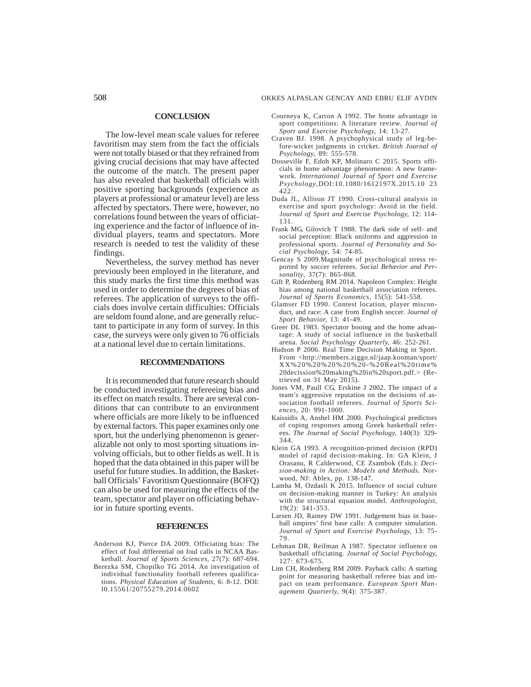#### 508 OKKES ALPASLAN GENCAY AND EBRU ELIF AYDIN

#### **CONCLUSION**

The low-level mean scale values for referee favoritism may stem from the fact the officials were not totally biased or that they refrained from giving crucial decisions that may have affected the outcome of the match. The present paper has also revealed that basketball officials with positive sporting backgrounds (experience as players at professional or amateur level) are less affected by spectators. There were, however, no correlations found between the years of officiating experience and the factor of influence of individual players, teams and spectators. More research is needed to test the validity of these findings.

Nevertheless, the survey method has never previously been employed in the literature, and this study marks the first time this method was used in order to determine the degrees of bias of referees. The application of surveys to the officials does involve certain difficulties: Officials are seldom found alone, and are generally reluctant to participate in any form of survey. In this case, the surveys were only given to 76 officials at a national level due to certain limitations.

# **RECOMMENDATIONS**

It is recommended that future research should be conducted investigating refereeing bias and its effect on match results. There are several conditions that can contribute to an environment where officials are more likely to be influenced by external factors. This paper examines only one sport, but the underlying phenomenon is generalizable not only to most sporting situations involving officials, but to other fields as well. It is hoped that the data obtained in this paper will be useful for future studies. In addition, the Basketball Officials' Favoritism Questionnaire (BOFQ) can also be used for measuring the effects of the team, spectator and player on officiating behavior in future sporting events.

#### **REFERENCES**

- Anderson KJ, Pierce DA 2009. Officiating bias: The effect of foul differential on foul calls in NCAA Basketball. *Journal of Sports Sciences*, 27(7): 687-694.
- Berezka SM, Chopilko TG 2014. An investigation of individual functionality football referees qualifications. *Physical Education of Students,* 6: 8-12. DOI: l0.15561/20755279.2014.0602
- Courneya K, Carron A 1992. The home advantage in sport competitions: A literature review. *Journal of Sport and Exercise Psychology,* 14: 13-27.
- Craven BJ. 1998. A psychophysical study of leg-before-wicket judgments in cricket. *British Journal of Psychology,* 89: 555-578.
- Dosseville F, Edoh KP, Molinaro C 2015. Sports officials in home advantage phenomenon: A new framework*. International Journal of Sport and Exercise Psychology*,DOI:10.1080/1612197X.2015.10 23 422.
- Duda JL, Allison JT 1990. Cross-cultural analysis in exercise and sport psychology: Avoid in the field. *Journal of Sport and Exercise Psychology,* 12: 114- 131.
- Frank MG, Gilovich T 1988. The dark side of self- and social perception: Black uniforms and aggression in professional sports. *Journal of Personality and Social Psychology,* 54: 74-85.
- Gencay S 2009.Magnitude of psychological stress reported by soccer referees. *Social Behavior and Personality*, 37(7): 865-868.
- Gift P, Rodenberg RM 2014. Napoleon Complex: Height bias among national basketball association referees. *Journal of Sports Economics*, 15(5): 541-558.
- Glamser FD 1990. Contest location, player misconduct, and race: A case from English soccer. *Journal of Sport Behavior,* 13: 41-49.
- Greer DL 1983. Spectator booing and the home advantage: A study of social influence in the basketball arena. *Social Psychology Quarterly,* 46: 252-261.
- Hudson P 2006. Real Time Decision Making in Sport. From <http://members.ziggo.nl/jaap.kooman/sport/ XX%20%20%20%20%20-%20Real%20time% 20decission%20making%20in%20sport.pdf.> (Retrieved on 31 May 2015).
- Jones VM, Paull CG, Erskine J 2002. The impact of a team's aggressive reputation on the decisions of association football referees. *Journal of Sports Sciences,* 20: 991-1000.
- Kaissidis A, Anshel HM 2000. Psychological predictors of coping responses among Greek basketball referees. *The Journal of Social Psychology,* 140(3): 329- 344.
- Klein GA 1993. A recognition-primed decision (RPD) model of rapid decision-making. In: GA Klein, J Orasanu, R Calderwood, CE Zsambok (Eds.): *Decision-making in Action: Models and Methods.* Norwood, NJ: Ablex, pp. 138-147.
- Lamba M, Ozdasli K  $2015$ . Influence of social culture on decision-making manner in Turkey: An analysis with the structural equation model. *Anthropologist,*  $19(2): 341 - 353.$
- Larsen JD, Rainey DW 1991. Judgement bias in baseball umpires' first base calls: A computer simulation. *Journal of Sport and Exercise Psychology,* 13: 75- 79.
- Lehman DR, Reifman A 1987. Spectator influence on basketball officiating. *Journal of Social Psychology,* 127: 673-675.
- Lim CH, Rodenberg RM 2009. Payback calls: A starting point for measuring basketball referee bias and impact on team performance. *European Sport Management Quarterly,* 9(4): 375-387.